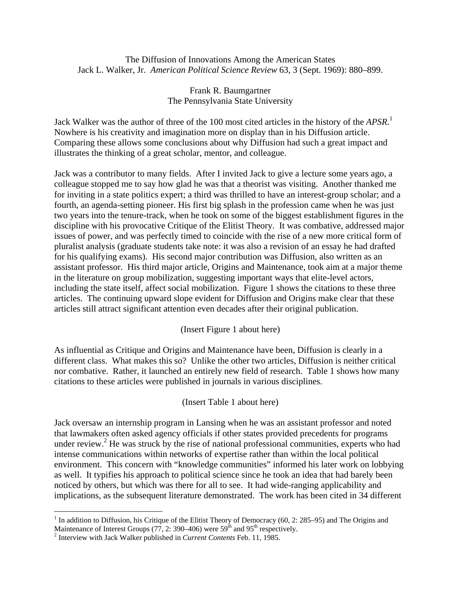The Diffusion of Innovations Among the American States Jack L. Walker, Jr. *American Political Science Review* 63, 3 (Sept. 1969): 880–899.

## Frank R. Baumgartner The Pennsylvania State University

Jack Walker was the author of three of the 100 most cited articles in the history of the *APSR*. [1](#page-0-0) Nowhere is his creativity and imagination more on display than in his Diffusion article. Comparing these allows some conclusions about why Diffusion had such a great impact and illustrates the thinking of a great scholar, mentor, and colleague.

Jack was a contributor to many fields. After I invited Jack to give a lecture some years ago, a colleague stopped me to say how glad he was that a theorist was visiting. Another thanked me for inviting in a state politics expert; a third was thrilled to have an interest-group scholar; and a fourth, an agenda-setting pioneer. His first big splash in the profession came when he was just two years into the tenure-track, when he took on some of the biggest establishment figures in the discipline with his provocative Critique of the Elitist Theory. It was combative, addressed major issues of power, and was perfectly timed to coincide with the rise of a new more critical form of pluralist analysis (graduate students take note: it was also a revision of an essay he had drafted for his qualifying exams). His second major contribution was Diffusion, also written as an assistant professor. His third major article, Origins and Maintenance, took aim at a major theme in the literature on group mobilization, suggesting important ways that elite-level actors, including the state itself, affect social mobilization. Figure 1 shows the citations to these three articles. The continuing upward slope evident for Diffusion and Origins make clear that these articles still attract significant attention even decades after their original publication.

## (Insert Figure 1 about here)

As influential as Critique and Origins and Maintenance have been, Diffusion is clearly in a different class. What makes this so? Unlike the other two articles, Diffusion is neither critical nor combative. Rather, it launched an entirely new field of research. Table 1 shows how many citations to these articles were published in journals in various disciplines.

## (Insert Table 1 about here)

Jack oversaw an internship program in Lansing when he was an assistant professor and noted that lawmakers often asked agency officials if other states provided precedents for programs under review.<sup>[2](#page-0-1)</sup> He was struck by the rise of national professional communities, experts who had intense communications within networks of expertise rather than within the local political environment. This concern with "knowledge communities" informed his later work on lobbying as well. It typifies his approach to political science since he took an idea that had barely been noticed by others, but which was there for all to see. It had wide-ranging applicability and implications, as the subsequent literature demonstrated. The work has been cited in 34 different

<span id="page-0-0"></span><sup>1</sup> <sup>1</sup> In addition to Diffusion, his Critique of the Elitist Theory of Democracy (60, 2: 285–95) and The Origins and Maintenance of Interest Groups (77, 2: 390–406) were  $59<sup>th</sup>$  and  $95<sup>th</sup>$  respectively.

<span id="page-0-1"></span><sup>&</sup>lt;sup>2</sup> Interview with Jack Walker published in *Current Contents* Feb. 11, 1985.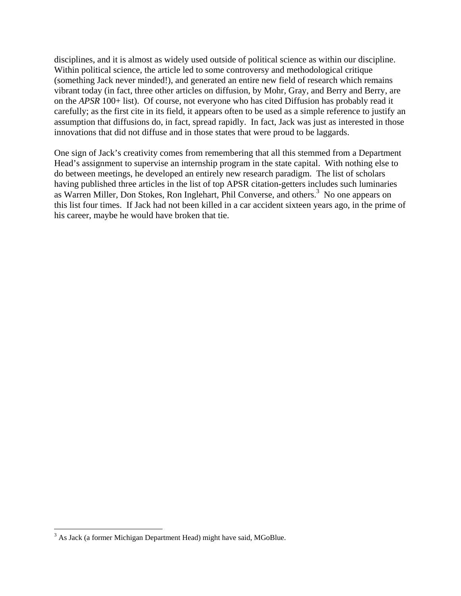disciplines, and it is almost as widely used outside of political science as within our discipline. Within political science, the article led to some controversy and methodological critique (something Jack never minded!), and generated an entire new field of research which remains vibrant today (in fact, three other articles on diffusion, by Mohr, Gray, and Berry and Berry, are on the *APSR* 100+ list). Of course, not everyone who has cited Diffusion has probably read it carefully; as the first cite in its field, it appears often to be used as a simple reference to justify an assumption that diffusions do, in fact, spread rapidly. In fact, Jack was just as interested in those innovations that did not diffuse and in those states that were proud to be laggards.

One sign of Jack's creativity comes from remembering that all this stemmed from a Department Head's assignment to supervise an internship program in the state capital. With nothing else to do between meetings, he developed an entirely new research paradigm. The list of scholars having published three articles in the list of top APSR citation-getters includes such luminaries as Warren Miller, Don Stokes, Ron Inglehart, Phil Converse, and others.<sup>[3](#page-1-0)</sup> No one appears on this list four times. If Jack had not been killed in a car accident sixteen years ago, in the prime of his career, maybe he would have broken that tie.

 $\overline{a}$ 

<span id="page-1-0"></span> $3$  As Jack (a former Michigan Department Head) might have said, MGoBlue.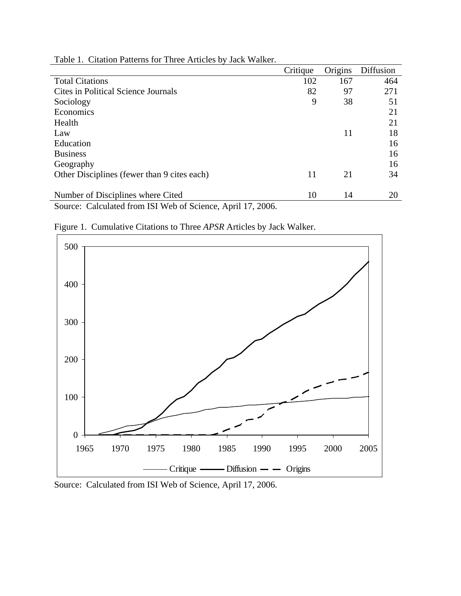|                                                             | Critique | Origins | Diffusion |
|-------------------------------------------------------------|----------|---------|-----------|
| <b>Total Citations</b>                                      | 102      | 167     | 464       |
| <b>Cites in Political Science Journals</b>                  | 82       | 97      | 271       |
| Sociology                                                   | 9        | 38      | 51        |
| Economics                                                   |          |         | 21        |
| Health                                                      |          |         | 21        |
| Law                                                         |          | 11      | 18        |
| Education                                                   |          |         | 16        |
| <b>Business</b>                                             |          |         | 16        |
| Geography                                                   |          |         | 16        |
| Other Disciplines (fewer than 9 cites each)                 | 11       | 21      | 34        |
|                                                             |          |         |           |
| Number of Disciplines where Cited                           | 10       | 14      | 20        |
| Source: Calculated from ISI Web of Science, April 17, 2006. |          |         |           |

Table 1. Citation Patterns for Three Articles by Jack Walker.



Figure 1. Cumulative Citations to Three *APSR* Articles by Jack Walker.

Source: Calculated from ISI Web of Science, April 17, 2006.